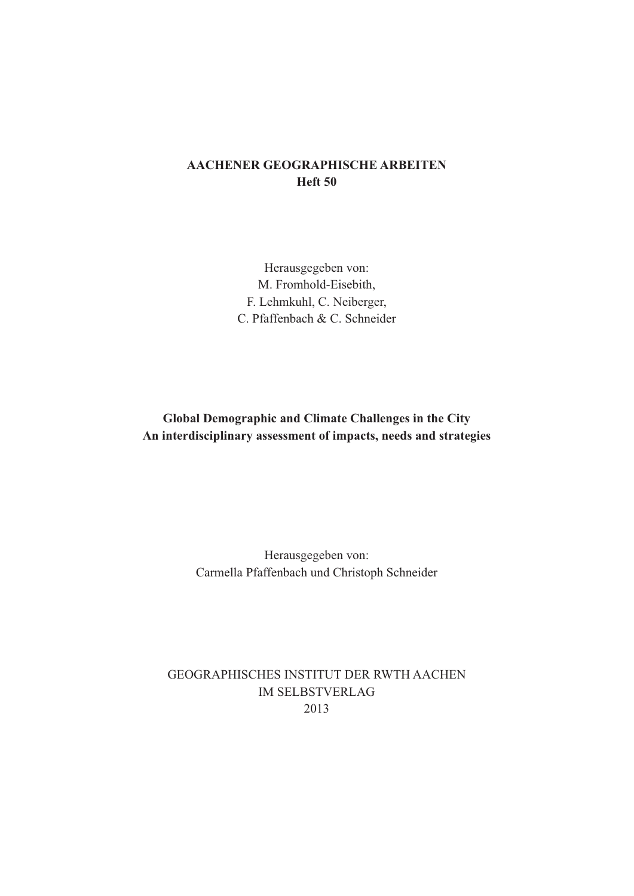## **AACHENER GEOGRAPHISCHE ARBEITEN Heft 50**

Herausgegeben von: M. Fromhold-Eisebith, F. Lehmkuhl, C. Neiberger, C. Pfaffenbach & C. Schneider

**Global Demographic and Climate Challenges in the City An interdisciplinary assessment of impacts, needs and strategies**

> Herausgegeben von: Carmella Pfaffenbach und Christoph Schneider

GEOGRAPHISCHES INSTITUT DER RWTH AACHEN IM SELBSTVERLAG 2013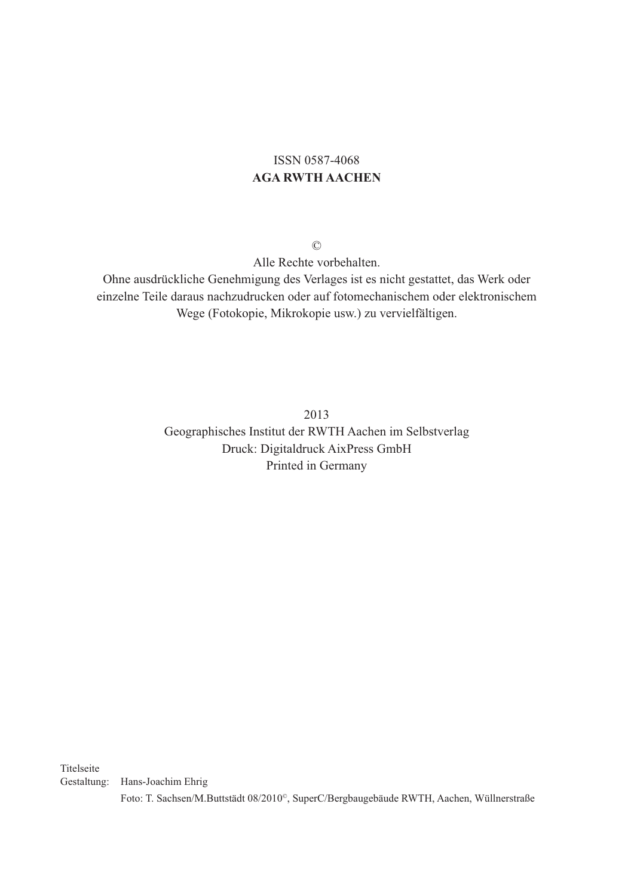## ISSN 0587-4068 **AGA RWTH AACHEN**

©

Alle Rechte vorbehalten.

Ohne ausdrückliche Genehmigung des Verlages ist es nicht gestattet, das Werk oder einzelne Teile daraus nachzudrucken oder auf fotomechanischem oder elektronischem Wege (Fotokopie, Mikrokopie usw.) zu vervielfältigen.

> 2013 Geographisches Institut der RWTH Aachen im Selbstverlag Druck: Digitaldruck AixPress GmbH Printed in Germany

Titelseite

Gestaltung: Hans-Joachim Ehrig

Foto: T. Sachsen/M.Buttstädt 08/2010©, SuperC/Bergbaugebäude RWTH, Aachen, Wüllnerstraße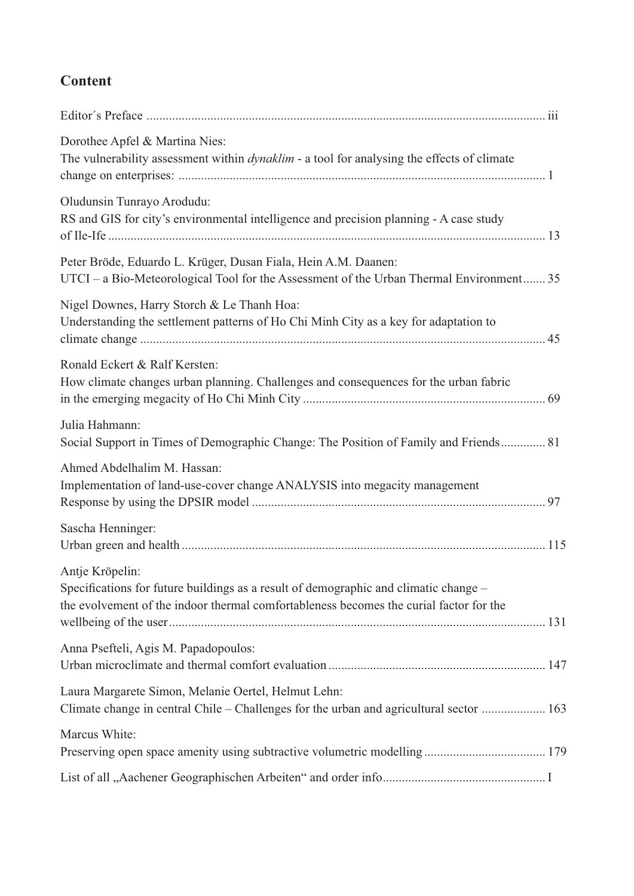# **Content**

| Dorothee Apfel & Martina Nies:<br>The vulnerability assessment within <i>dynaklim</i> - a tool for analysing the effects of climate                                                               |  |
|---------------------------------------------------------------------------------------------------------------------------------------------------------------------------------------------------|--|
| Oludunsin Tunrayo Arodudu:<br>RS and GIS for city's environmental intelligence and precision planning - A case study                                                                              |  |
| Peter Bröde, Eduardo L. Krüger, Dusan Fiala, Hein A.M. Daanen:<br>UTCI - a Bio-Meteorological Tool for the Assessment of the Urban Thermal Environment 35                                         |  |
| Nigel Downes, Harry Storch & Le Thanh Hoa:<br>Understanding the settlement patterns of Ho Chi Minh City as a key for adaptation to                                                                |  |
| Ronald Eckert & Ralf Kersten:<br>How climate changes urban planning. Challenges and consequences for the urban fabric                                                                             |  |
| Julia Hahmann:<br>Social Support in Times of Demographic Change: The Position of Family and Friends 81                                                                                            |  |
| Ahmed Abdelhalim M. Hassan:<br>Implementation of land-use-cover change ANALYSIS into megacity management                                                                                          |  |
| Sascha Henninger:                                                                                                                                                                                 |  |
| Antje Kröpelin:<br>Specifications for future buildings as a result of demographic and climatic change -<br>the evolvement of the indoor thermal comfortableness becomes the curial factor for the |  |
| Anna Psefteli, Agis M. Papadopoulos:                                                                                                                                                              |  |
| Laura Margarete Simon, Melanie Oertel, Helmut Lehn:<br>Climate change in central Chile – Challenges for the urban and agricultural sector  163                                                    |  |
| Marcus White:                                                                                                                                                                                     |  |
|                                                                                                                                                                                                   |  |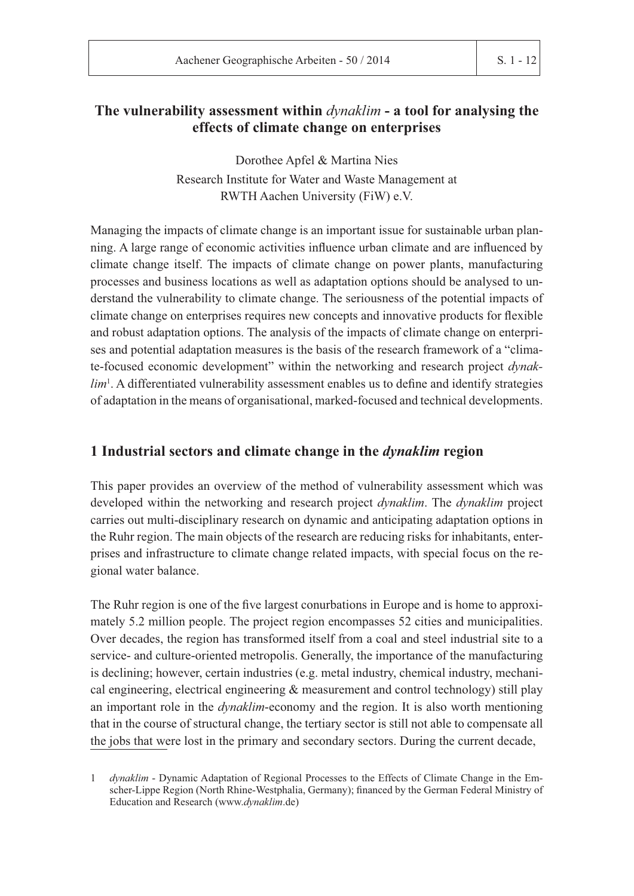## **The vulnerability assessment within** *dynaklim* **- a tool for analysing the effects of climate change on enterprises**

Dorothee Apfel & Martina Nies Research Institute for Water and Waste Management at RWTH Aachen University (FiW) e.V.

Managing the impacts of climate change is an important issue for sustainable urban plan ning. A large range of economic activities influence urban climate and are influenced by climate change itself. The impacts of climate change on power plants, manufacturing processes and business locations as well as adaptation options should be analysed to understand the vulnerability to climate change. The seriousness of the potential impacts of climate change on enterprises requires new concepts and innovative products for flexible and robust adaptation options. The analysis of the impacts of climate change on enterprises and potential adaptation measures is the basis of the research framework of a "climate-focused economic development" within the networking and research project *dynaklim*<sup>1</sup>. A differentiated vulnerability assessment enables us to define and identify strategies of adaptation in the means of organisational, marked-focused and technical developments.

## **1 Industrial sectors and climate change in the** *dynaklim* **region**

This paper provides an overview of the method of vulnerability assessment which was developed within the networking and research project *dynaklim*. The *dynaklim* project carries out multi-disciplinary research on dynamic and anticipating adaptation options in the Ruhr region. The main objects of the research are reducing risks for inhabitants, enterprises and infrastructure to climate change related impacts, with special focus on the regional water balance.

The Ruhr region is one of the five largest conurbations in Europe and is home to approximately 5.2 million people. The project region encompasses 52 cities and municipalities. Over decades, the region has transformed itself from a coal and steel industrial site to a service- and culture-oriented metropolis. Generally, the importance of the manufacturing is declining; however, certain industries (e.g. metal industry, chemical industry, mechanical engineering, electrical engineering & measurement and control technology) still play an important role in the *dynaklim*-economy and the region. It is also worth mentioning that in the course of structural change, the tertiary sector is still not able to compensate all the jobs that were lost in the primary and secondary sectors. During the current decade,

<sup>1</sup> *dynaklim* - Dynamic Adaptation of Regional Processes to the Effects of Climate Change in the Emscher-Lippe Region (North Rhine-Westphalia, Germany); financed by the German Federal Ministry of Education and Research (www.dynaklim.de)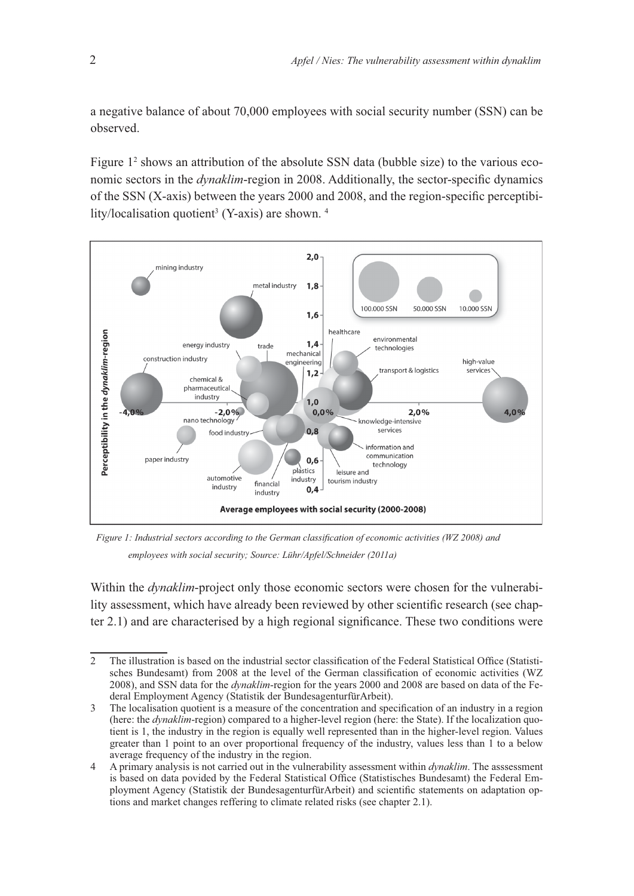a negative balance of about 70,000 employees with social security number (SSN) can be observed.

Figure 1<sup>2</sup> shows an attribution of the absolute SSN data (bubble size) to the various economic sectors in the *dynaklim*-region in 2008. Additionally, the sector-specific dynamics of the SSN (X-axis) between the years 2000 and 2008, and the region-specific perceptibility/localisation quotient<sup>3</sup> (Y-axis) are shown.  $4$ 



Figure 1: Industrial sectors according to the German classification of economic activities (WZ 2008) and employees with social security; Source: Lühr/Apfel/Schneider (2011a)

Within the *dynaklim*-project only those economic sectors were chosen for the vulnerabi lity assessment, which have already been reviewed by other scientific research (see chapter  $2.1$ ) and are characterised by a high regional significance. These two conditions were

<sup>2</sup> The illustration is based on the industrial sector classification of the Federal Statistical Office (Statistisches Bundesamt) from 2008 at the level of the German classification of economic activities (WZ 2008), and SSN data for the *dynaklim*-region for the years 2000 and 2008 are based on data of the Fe deral Employment Agency (Statistik der BundesagenturfürArbeit).

<sup>3</sup> The localisation quotient is a measure of the concentration and specification of an industry in a region (here: the *dynaklim*-region) compared to a higher-level region (here: the State). If the localization quotient is 1, the industry in the region is equally well represented than in the higher-level region. Values greater than 1 point to an over proportional frequency of the industry, values less than 1 to a below average frequency of the industry in the region.

<sup>4</sup> A primary analysis is not carried out in the vulnerability assessment within *dynaklim*. The asssessment is based on data povided by the Federal Statistical Office (Statistisches Bundesamt) the Federal Employment Agency (Statistik der BundesagenturfürArbeit) and scientific statements on adaptation options and market changes reffering to climate related risks (see chapter 2.1).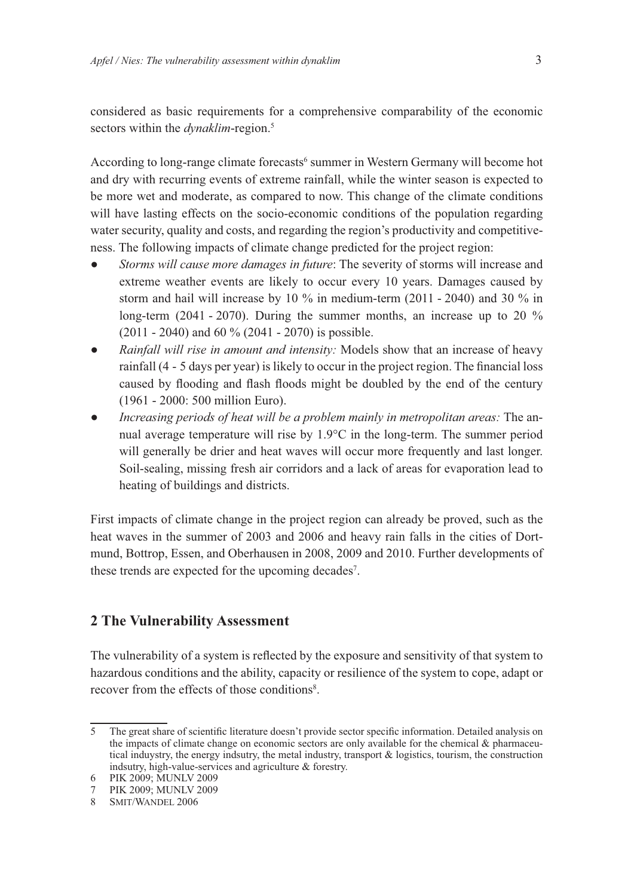considered as basic requirements for a comprehensive comparability of the economic sectors within the *dynaklim*-region.<sup>5</sup>

According to long-range climate forecasts<sup>6</sup> summer in Western Germany will become hot and dry with recurring events of extreme rainfall, while the winter season is expected to be more wet and moderate, as compared to now. This change of the climate conditions will have lasting effects on the socio-economic conditions of the population regarding water security, quality and costs, and regarding the region's productivity and competitiveness. The following impacts of climate change predicted for the project region:

- *Storms will cause more damages in future*: The severity of storms will increase and extreme weather events are likely to occur every 10 years. Damages caused by storm and hail will increase by 10 % in medium-term (2011 - 2040) and 30 % in long-term (2041 - 2070). During the summer months, an increase up to 20 % (2011 - 2040) and 60 % (2041 - 2070) is possible.
- *Rainfall will rise in amount and intensity:* Models show that an increase of heavy rainfall (4 - 5 days per year) is likely to occur in the project region. The financial loss caused by flooding and flash floods might be doubled by the end of the century (1961 - 2000: 500 million Euro).
- *Increasing periods of heat will be a problem mainly in metropolitan areas:* The an nual average temperature will rise by  $1.9^{\circ}$ C in the long-term. The summer period will generally be drier and heat waves will occur more frequently and last longer. Soil-sealing, missing fresh air corridors and a lack of areas for evaporation lead to heating of buildings and districts.

First impacts of climate change in the project region can already be proved, such as the heat waves in the summer of 2003 and 2006 and heavy rain falls in the cities of Dort mund, Bottrop, Essen, and Oberhausen in 2008, 2009 and 2010. Further developments of these trends are expected for the upcoming decades<sup>7</sup>.

## **2 The Vulnerability Assessment**

The vulnerability of a system is reflected by the exposure and sensitivity of that system to hazardous conditions and the ability, capacity or resilience of the system to cope, adapt or recover from the effects of those conditions<sup>8</sup>.

<sup>5</sup> The great share of scientific literature doesn't provide sector specific information. Detailed analysis on the impacts of climate change on economic sectors are only available for the chemical  $\&$  pharmaceutical induystry, the energy indsutry, the metal industry, transport  $\&$  logistics, tourism, the construction indsutry, high-value-services and agriculture & forestry.

<sup>6</sup> PIK 2009; MUNLV 2009

<sup>7</sup> PIK 2009; MUNLV 2009<br>8 SMIT/WANDEL 2006

<sup>8</sup> SMIT/WANDEL 2006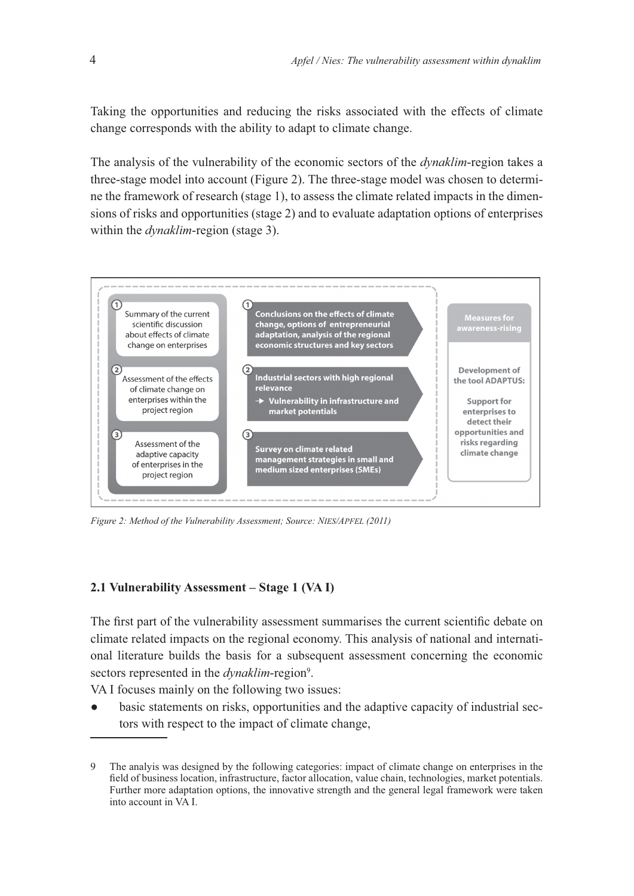Taking the opportunities and reducing the risks associated with the effects of climate change corresponds with the ability to adapt to climate change.

The analysis of the vulnerability of the economic sectors of the *dynaklim*-region takes a three-stage model into account (Figure 2). The three-stage model was chosen to determine the framework of research (stage 1), to assess the climate related impacts in the dimensions of risks and opportunities (stage 2) and to evaluate adaptation options of enterprises within the *dynaklim*-region (stage 3).



Figure 2: Method of the Vulnerability Assessment; Source: NIES/APFEL (2011)

#### **2.1 Vulnerability Assessment – Stage 1 (VA I)**

The first part of the vulnerability assessment summarises the current scientific debate on climate related impacts on the regional economy. This analysis of national and international literature builds the basis for a subsequent assessment concerning the economic sectors represented in the *dynaklim*-region<sup>9</sup>.

VA I focuses mainly on the following two issues:

 basic statements on risks, opportunities and the adaptive capacity of industrial sectors with respect to the impact of climate change,

<sup>9</sup> The analyis was designed by the following categories: impact of climate change on enterprises in the field of business location, infrastructure, factor allocation, value chain, technologies, market potentials. Further more adaptation options, the innovative strength and the general legal framework were taken into account in VA I.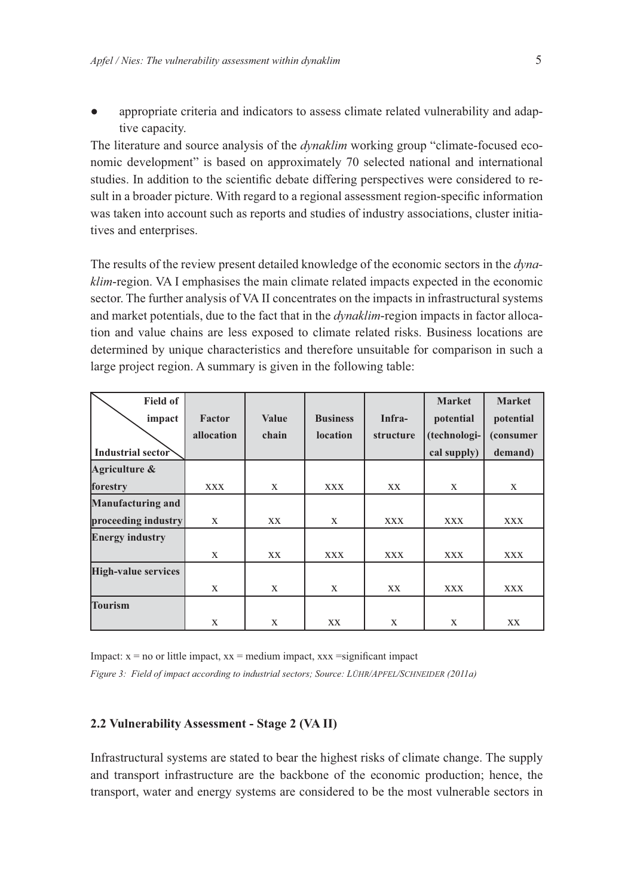appropriate criteria and indicators to assess climate related vulnerability and adaptive capacity.

The literature and source analysis of the *dynaklim* working group "climate-focused eco nomic development" is based on approximately 70 selected national and international studies. In addition to the scientific debate differing perspectives were considered to result in a broader picture. With regard to a regional assessment region-specific information was taken into account such as reports and studies of industry associations, cluster initiatives and enterprises.

The results of the review present detailed knowledge of the economic sectors in the *dynaklim*-region. VA I emphasises the main climate related impacts expected in the economic sector. The further analysis of VA II concentrates on the impacts in infrastructural systems and market potentials, due to the fact that in the *dynaklim*-region impacts in factor alloca tion and value chains are less exposed to climate related risks. Business locations are determined by unique characteristics and therefore unsuitable for comparison in such a large project region. A summary is given in the following table:

| <b>Field of</b>            |              |              |                 |            | <b>Market</b> | <b>Market</b> |
|----------------------------|--------------|--------------|-----------------|------------|---------------|---------------|
| impact                     | Factor       | <b>Value</b> | <b>Business</b> | Infra-     | potential     | potential     |
|                            | allocation   | chain        | <b>location</b> | structure  | (technologi-  | (consumer)    |
| Industrial sector          |              |              |                 |            | cal supply)   | demand)       |
| Agriculture &              |              |              |                 |            |               |               |
| forestry                   | <b>XXX</b>   | X            | <b>XXX</b>      | XX         | X             | X             |
| <b>Manufacturing and</b>   |              |              |                 |            |               |               |
| proceeding industry        | X            | XX           | X               | <b>XXX</b> | <b>XXX</b>    | <b>XXX</b>    |
| <b>Energy industry</b>     |              |              |                 |            |               |               |
|                            | $\mathbf{X}$ | <b>XX</b>    | <b>XXX</b>      | <b>XXX</b> | <b>XXX</b>    | <b>XXX</b>    |
| <b>High-value services</b> |              |              |                 |            |               |               |
|                            | X            | X            | X               | XX         | <b>XXX</b>    | <b>XXX</b>    |
| <b>Tourism</b>             |              |              |                 |            |               |               |
|                            | X            | X            | XX              | X          | X             | <b>XX</b>     |

Impact:  $x = no$  or little impact,  $xx = medium$  impact,  $xxx = significant$  impact Figure 3: Field of impact according to industrial sectors; Source: LÜHR/APFEL/SCHNEIDER (2011a)

#### **2.2 Vulnerability Assessment - Stage 2 (VA II)**

Infrastructural systems are stated to bear the highest risks of climate change. The supply and transport infrastructure are the backbone of the economic production; hence, the transport, water and energy systems are considered to be the most vulnerable sectors in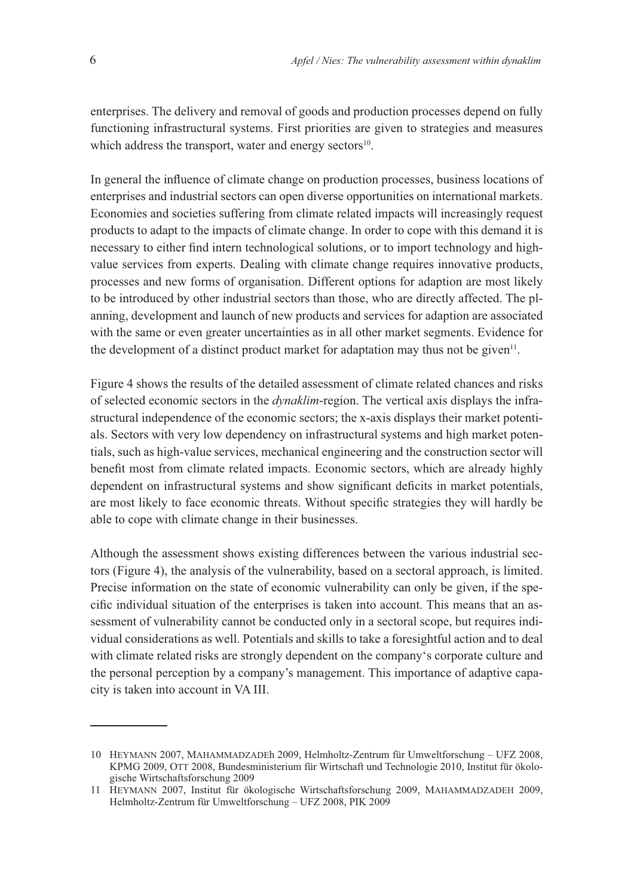enterprises. The delivery and removal of goods and production processes depend on fully functioning infrastructural systems. First priorities are given to strategies and measures which address the transport, water and energy sectors $10$ .

In general the influence of climate change on production processes, business locations of enterprises and industrial sectors can open diverse opportunities on international markets. Economies and societies suffering from climate related impacts will increasingly request products to adapt to the impacts of climate change. In order to cope with this demand it is necessary to either find intern technological solutions, or to import technology and highvalue services from experts. Dealing with climate change requires innovative products, processes and new forms of organisation. Different options for adaption are most likely to be introduced by other industrial sectors than those, who are directly affected. The planning, development and launch of new products and services for adaption are associated with the same or even greater uncertainties as in all other market segments. Evidence for the development of a distinct product market for adaptation may thus not be given<sup> $11$ </sup>.

Figure 4 shows the results of the detailed assessment of climate related chances and risks of selected economic sectors in the *dynaklim*-region. The vertical axis displays the infrastructural independence of the economic sectors; the x-axis displays their market potentials. Sectors with very low dependency on infrastructural systems and high market potentials, such as high-value services, mechanical engineering and the construction sector will benefit most from climate related impacts. Economic sectors, which are already highly dependent on infrastructural systems and show significant deficits in market potentials, are most likely to face economic threats. Without specific strategies they will hardly be able to cope with climate change in their businesses.

Although the assessment shows existing differences between the various industrial sectors (Figure 4), the analysis of the vulnerability, based on a sectoral approach, is limited. Precise information on the state of economic vulnerability can only be given, if the spe cific individual situation of the enterprises is taken into account. This means that an assessment of vulnerability cannot be conducted only in a sectoral scope, but requires individual considerations as well. Potentials and skills to take a foresightful action and to deal with climate related risks are strongly dependent on the company's corporate culture and the personal perception by a company's management. This importance of adaptive capacity is taken into account in VA III.

<sup>10</sup> HEYMANN 2007, MAHAMMADZADEh 2009, Helmholtz-Zentrum für Umweltforschung - UFZ 2008, KPMG 2009, OTT 2008, Bundesministerium für Wirtschaft und Technologie 2010, Institut für ökologische Wirtschaftsforschung 2009

<sup>11</sup> HEYMANN 2007, Institut für ökologische Wirtschaftsforschung 2009, MAHAMMADZADEH 2009, Helmholtz-Zentrum für Umweltforschung – UFZ 2008, PIK 2009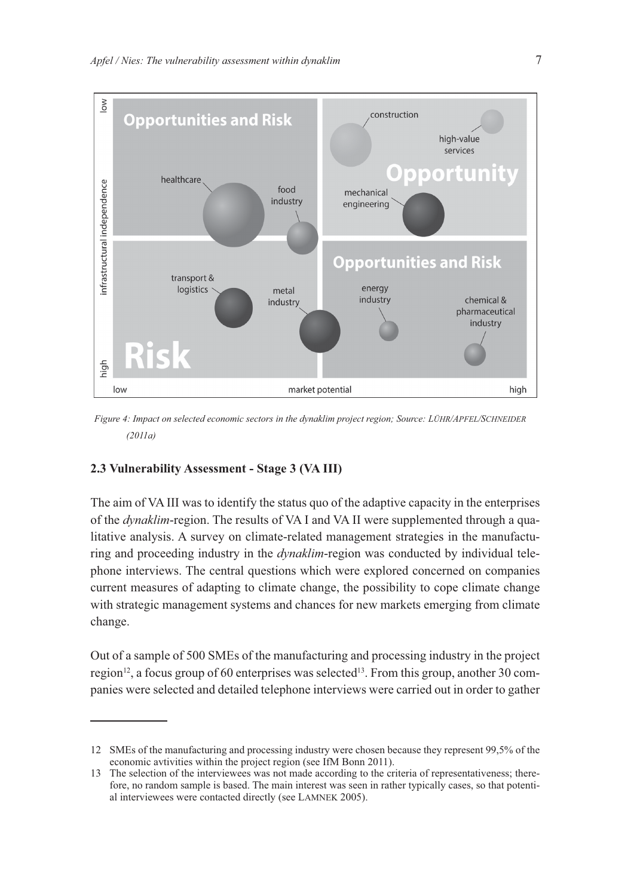

*Figure 4: Impact on selected economic sectors in the dynaklim project region; Source: LÜHR/APFEL/SCHNEIDER*  $(2011a)$ 

## **2.3 Vulnerability Assessment - Stage 3 (VA III)**

The aim of VA III was to identify the status quo of the adaptive capacity in the enterprises of the *dynaklim*-region. The results of VA I and VA II were supplemented through a qualitative analysis. A survey on climate-related management strategies in the manufacturing and proceeding industry in the *dynaklim*-region was conducted by individual tele phone interviews. The central questions which were explored concerned on companies current measures of adapting to climate change, the possibility to cope climate change with strategic management systems and chances for new markets emerging from climate change.

Out of a sample of 500 SMEs of the manufacturing and processing industry in the project region<sup>12</sup>, a focus group of 60 enterprises was selected<sup>13</sup>. From this group, another 30 companies were selected and detailed telephone interviews were carried out in order to gather

<sup>12</sup> SMEs of the manufacturing and processing industry were chosen because they represent 99,5% of the economic avtivities within the project region (see IfM Bonn 2011).

<sup>13</sup> The selection of the interviewees was not made according to the criteria of representativeness; therefore, no random sample is based. The main interest was seen in rather typically cases, so that potential interviewees were contacted directly (see LAMNEK 2005).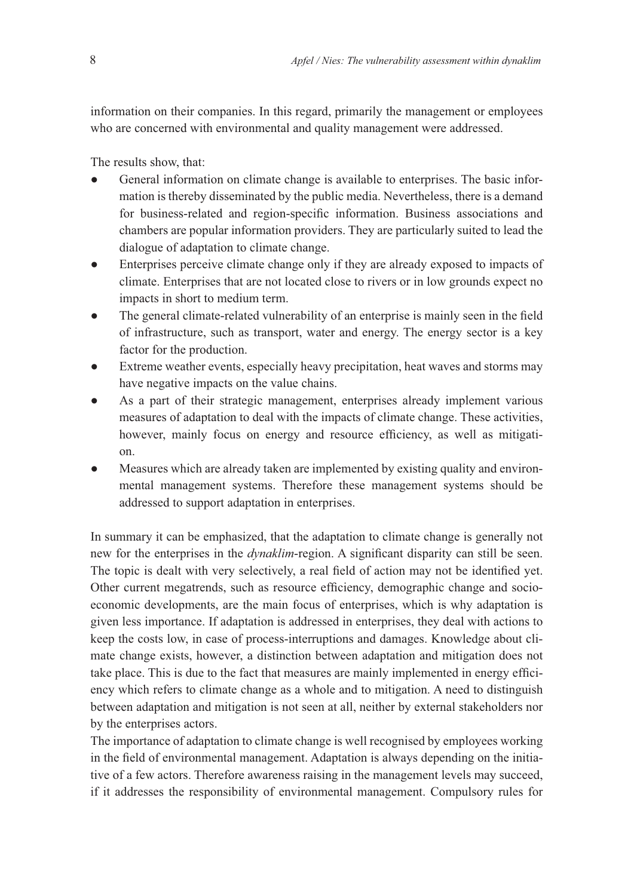information on their companies. In this regard, primarily the management or employees who are concerned with environmental and quality management were addressed.

The results show, that:

- General information on climate change is available to enterprises. The basic information is thereby disseminated by the public media. Nevertheless, there is a demand for business-related and region-specific information. Business associations and chambers are popular information providers. They are particularly suited to lead the dialogue of adaptation to climate change.
- Enterprises perceive climate change only if they are already exposed to impacts of climate. Enterprises that are not located close to rivers or in low grounds expect no impacts in short to medium term.
- The general climate-related vulnerability of an enterprise is mainly seen in the field of infrastructure, such as transport, water and energy. The energy sector is a key factor for the production.
- Extreme weather events, especially heavy precipitation, heat waves and storms may have negative impacts on the value chains.
- As a part of their strategic management, enterprises already implement various measures of adaptation to deal with the impacts of climate change. These activities, however, mainly focus on energy and resource efficiency, as well as mitigation.
- Measures which are already taken are implemented by existing quality and environmental management systems. Therefore these management systems should be addressed to support adaptation in enterprises.

In summary it can be emphasized, that the adaptation to climate change is generally not new for the enterprises in the *dynaklim*-region. A significant disparity can still be seen. The topic is dealt with very selectively, a real field of action may not be identified yet. Other current megatrends, such as resource efficiency, demographic change and socioeconomic developments, are the main focus of enterprises, which is why adaptation is given less importance. If adaptation is addressed in enterprises, they deal with actions to keep the costs low, in case of process-interruptions and damages. Knowledge about cli mate change exists, however, a distinction between adaptation and mitigation does not take place. This is due to the fact that measures are mainly implemented in energy efficiency which refers to climate change as a whole and to mitigation. A need to distinguish between adaptation and mitigation is not seen at all, neither by external stakeholders nor by the enterprises actors.

The importance of adaptation to climate change is well recognised by employees working in the field of environmental management. Adaptation is always depending on the initiative of a few actors. Therefore awareness raising in the management levels may succeed, if it addresses the responsibility of environmental management. Compulsory rules for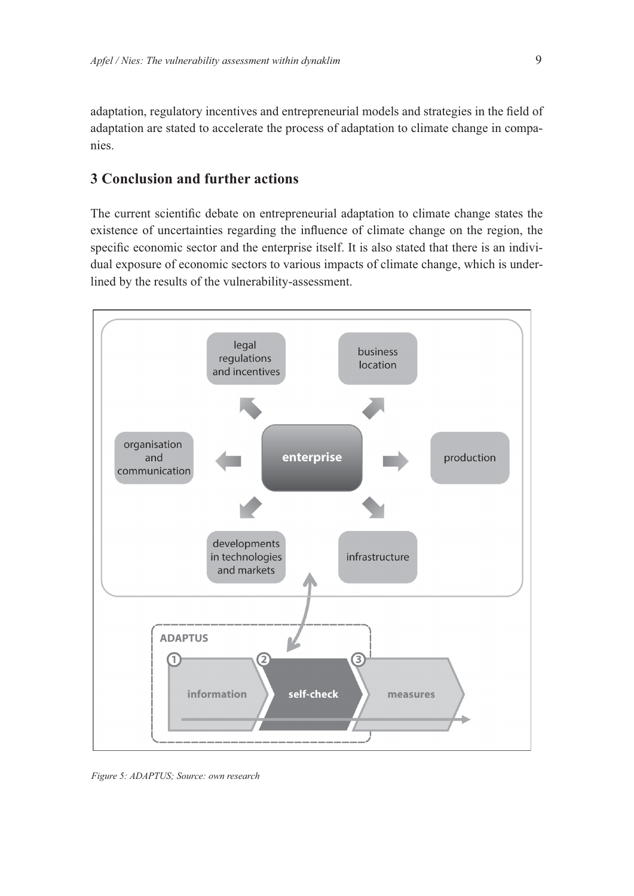adaptation, regulatory incentives and entrepreneurial models and strategies in the field of adaptation are stated to accelerate the process of adaptation to climate change in companies.

## **3 Conclusion and further actions**

The current scientific debate on entrepreneurial adaptation to climate change states the existence of uncertainties regarding the influence of climate change on the region, the specific economic sector and the enterprise itself. It is also stated that there is an individual exposure of economic sectors to various impacts of climate change, which is underlined by the results of the vulnerability-assessment.



*Figure 5: ADAPTUS; Source: own research*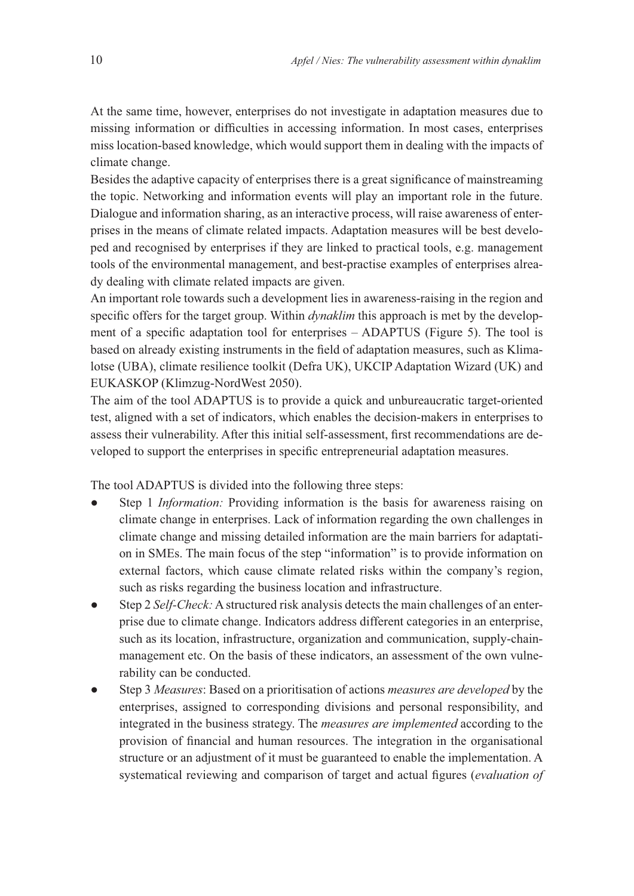At the same time, however, enterprises do not investigate in adaptation measures due to missing information or difficulties in accessing information. In most cases, enterprises miss location-based knowledge, which would support them in dealing with the impacts of climate change.

Besides the adaptive capacity of enterprises there is a great significance of mainstreaming the topic. Networking and information events will play an important role in the future. Dialogue and information sharing, as an interactive process, will raise awareness of enterprises in the means of climate related impacts. Adaptation measures will be best developed and recognised by enterprises if they are linked to practical tools, e.g. management tools of the environmental management, and best-practise examples of enterprises already dealing with climate related impacts are given.

An important role towards such a development lies in awareness-raising in the region and specific offers for the target group. Within *dynaklim* this approach is met by the development of a specific adaptation tool for enterprises - ADAPTUS (Figure 5). The tool is based on already existing instruments in the field of adaptation measures, such as Klimalotse (UBA), climate resilience toolkit (Defra UK), UKCIP Adaptation Wizard (UK) and EUKASKOP (Klimzug-NordWest 2050).

The aim of the tool ADAPTUS is to provide a quick and unbureaucratic target-oriented test, aligned with a set of indicators, which enables the decision-makers in enterprises to assess their vulnerability. After this initial self-assessment, first recommendations are developed to support the enterprises in specific entrepreneurial adaptation measures.

The tool ADAPTUS is divided into the following three steps:

- Step 1 *Information:* Providing information is the basis for awareness raising on climate change in enterprises. Lack of information regarding the own challenges in climate change and missing detailed information are the main barriers for adaptati on in SMEs. The main focus of the step "information" is to provide information on external factors, which cause climate related risks within the company's region, such as risks regarding the business location and infrastructure.
- Step 2 *Self-Check:* A structured risk analysis detects the main challenges of an enterprise due to climate change. Indicators address different categories in an enterprise, such as its location, infrastructure, organization and communication, supply-chainmanagement etc. On the basis of these indicators, an assessment of the own vulnerability can be conducted.
- Step 3 *Measures*: Based on a prioritisation of actions *measures are developed* by the enterprises, assigned to corresponding divisions and personal responsibility, and integrated in the business strategy. The *measures are implemented* according to the provision of financial and human resources. The integration in the organisational structure or an adjustment of it must be guaranteed to enable the implementation. A systematical reviewing and comparison of target and actual figures (evaluation of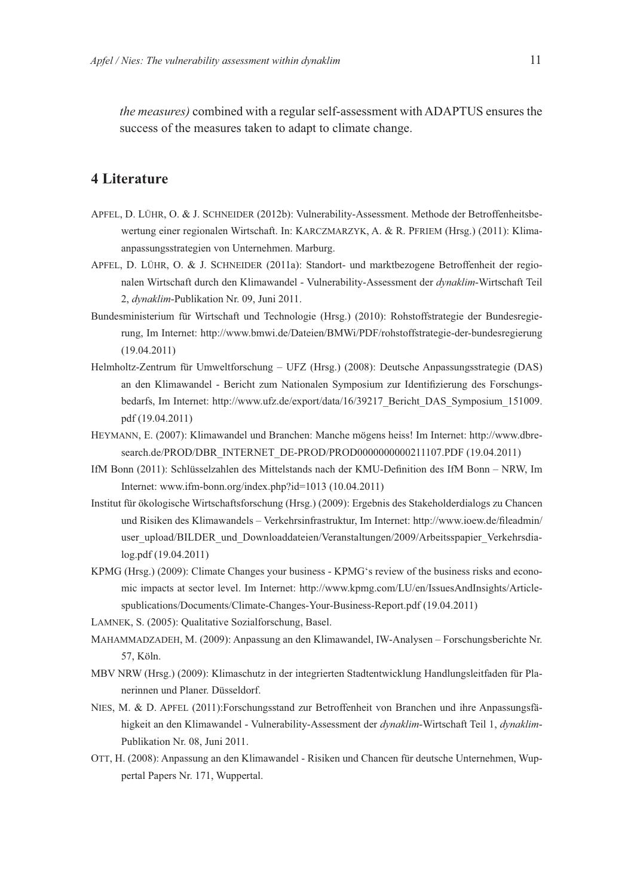*the measures*) combined with a regular self-assessment with ADAPTUS ensures the success of the measures taken to adapt to climate change.

#### **4 Literature**

- APFEL, D. LÜHR, O. & J. SCHNEIDER (2012b): Vulnerability-Assessment. Methode der Betroffenheitsbewertung einer regionalen Wirtschaft. In: KARCZMARZYK, A. & R. PFRIEM (Hrsg.) (2011): Klimaanpassungsstrategien von Unternehmen. Marburg.
- APFEL, D. LÜHR, O. & J. SCHNEIDER (2011a): Standort- und marktbezogene Betroffenheit der regionalen Wirtschaft durch den Klimawandel - Vulnerability-Assessment der *dynaklim*-Wirtschaft Teil 2, *dynaklim*-Publikation Nr. 09, Juni 2011.
- Bundesministerium für Wirtschaft und Technologie (Hrsg.) (2010): Rohstoffstrategie der Bundesregierung, Im Internet: http://www.bmwi.de/Dateien/BMWi/PDF/rohstoffstrategie-der-bundesregierung (19.04.2011)
- Helmholtz-Zentrum für Umweltforschung UFZ (Hrsg.) (2008): Deutsche Anpassungsstrategie (DAS) an den Klimawandel - Bericht zum Nationalen Symposium zur Identifizierung des Forschungsbedarfs, Im Internet: http://www.ufz.de/export/data/16/39217 Bericht DAS Symposium 151009. pdf (19.04.2011)
- HEYMANN, E. (2007): Klimawandel und Branchen: Manche mögens heiss! Im Internet: http://www.dbresearch.de/PROD/DBR INTERNET DE-PROD/PROD000000000211107.PDF (19.04.2011)
- IfM Bonn (2011): Schlüsselzahlen des Mittelstands nach der KMU-Definition des IfM Bonn NRW, Im Internet: www.ifm-bonn.org/index.php?id=1013 (10.04.2011)
- Institut für ökologische Wirtschaftsforschung (Hrsg.) (2009): Ergebnis des Stakeholderdialogs zu Chancen und Risiken des Klimawandels – Verkehrsinfrastruktur, Im Internet: http://www.ioew.de/fileadmin/ user\_upload/BILDER\_und\_Downloaddateien/Veranstaltungen/2009/Arbeitsspapier\_Verkehrsdialog.pdf (19.04.2011)
- KPMG (Hrsg.) (2009): Climate Changes your business KPMG's review of the business risks and economic impacts at sector level. Im Internet: http://www.kpmg.com/LU/en/IssuesAndInsights/Article spublications/Documents/Climate-Changes-Your-Business-Report.pdf (19.04.2011)
- LAMNEK, S. (2005): Qualitative Sozialforschung, Basel.
- MAHAMMADZADEH, M. (2009): Anpassung an den Klimawandel, IW-Analysen Forschungsberichte Nr. 57, Köln.
- MBV NRW (Hrsg.) (2009): Klimaschutz in der integrierten Stadtentwicklung Handlungsleitfaden für Planerinnen und Planer. Düsseldorf.
- NIES, M. & D. APFEL (2011):Forschungsstand zur Betroffenheit von Branchen und ihre Anpassungsfähigkeit an den Klimawandel - Vulnerability-Assessment der *dynaklim*-Wirtschaft Teil 1, *dynaklim*-Publikation Nr. 08, Juni 2011.
- OTT, H. (2008): Anpassung an den Klimawandel Risiken und Chancen für deutsche Unternehmen, Wuppertal Papers Nr. 171, Wuppertal.